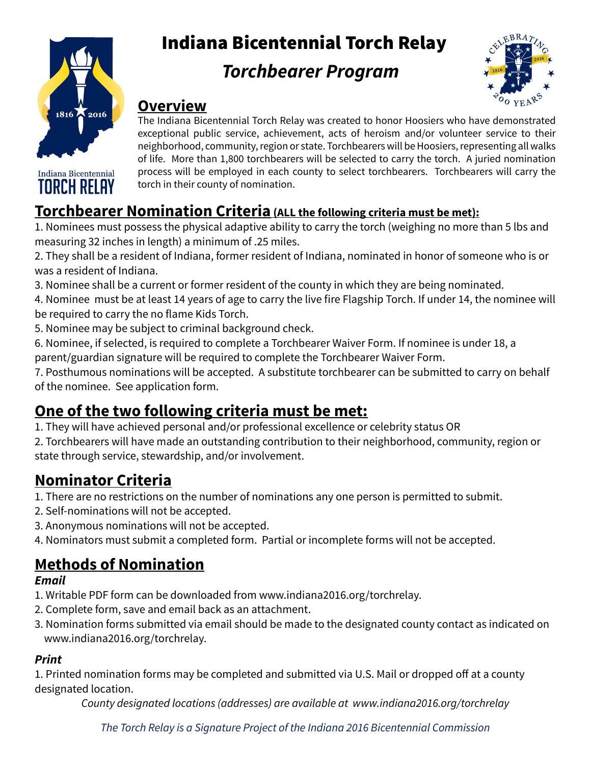

Indiana Bicentennial **TORCH RELAY** 

# Indiana Bicentennial Torch Relay

# *Torchbearer Program*



#### **Overview**

The Indiana Bicentennial Torch Relay was created to honor Hoosiers who have demonstrated exceptional public service, achievement, acts of heroism and/or volunteer service to their neighborhood, community, region or state. Torchbearers will be Hoosiers, representing all walks of life. More than 1,800 torchbearers will be selected to carry the torch. A juried nomination process will be employed in each county to select torchbearers. Torchbearers will carry the torch in their county of nomination.

#### **Torchbearer Nomination Criteria (ALL the following criteria must be met):**

1. Nominees must possess the physical adaptive ability to carry the torch (weighing no more than 5 lbs and measuring 32 inches in length) a minimum of .25 miles.

2. They shall be a resident of Indiana, former resident of Indiana, nominated in honor of someone who is or was a resident of Indiana.

3. Nominee shall be a current or former resident of the county in which they are being nominated.

4. Nominee must be at least 14 years of age to carry the live fire Flagship Torch. If under 14, the nominee will be required to carry the no flame Kids Torch.

5. Nominee may be subject to criminal background check.

6. Nominee, if selected, is required to complete a Torchbearer Waiver Form. If nominee is under 18, a parent/guardian signature will be required to complete the Torchbearer Waiver Form.

7. Posthumous nominations will be accepted. A substitute torchbearer can be submitted to carry on behalf of the nominee. See application form.

#### **One of the two following criteria must be met:**

1. They will have achieved personal and/or professional excellence or celebrity status OR

2. Torchbearers will have made an outstanding contribution to their neighborhood, community, region or state through service, stewardship, and/or involvement.

### **Nominator Criteria**

1. There are no restrictions on the number of nominations any one person is permitted to submit.

- 2. Self-nominations will not be accepted.
- 3. Anonymous nominations will not be accepted.
- 4. Nominators must submit a completed form. Partial or incomplete forms will not be accepted.

### **Methods of Nomination**

#### *Email*

- 1. Writable PDF form can be downloaded from www.indiana2016.org/torchrelay.
- 2. Complete form, save and email back as an attachment.
- 3. Nomination forms submitted via email should be made to the designated county contact as indicated on www.indiana2016.org/torchrelay.

#### *Print*

1. Printed nomination forms may be completed and submitted via U.S. Mail or dropped off at a county designated location.

*County designated locations (addresses) are available at www.indiana2016.org/torchrelay* 

*The Torch Relay is a Signature Project of the Indiana 2016 Bicentennial Commission*